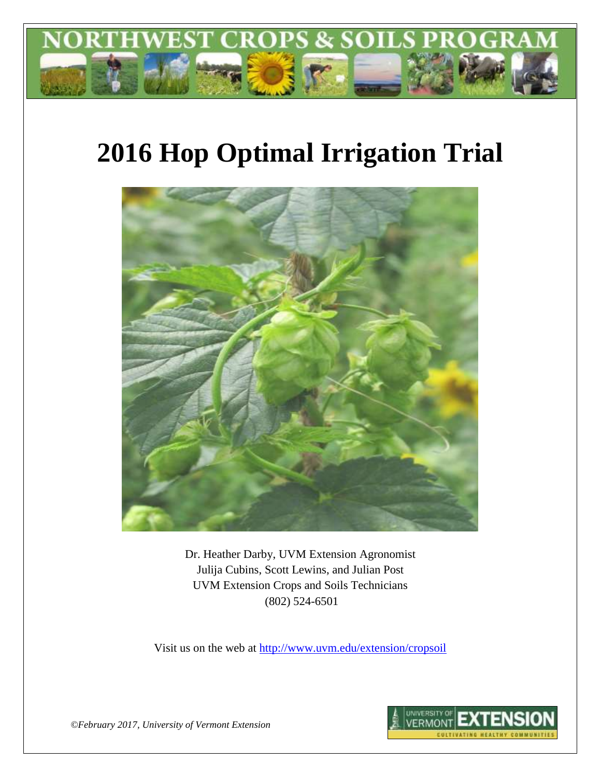

# **2016 Hop Optimal Irrigation Trial**



Dr. Heather Darby, UVM Extension Agronomist Julija Cubins, Scott Lewins, and Julian Post UVM Extension Crops and Soils Technicians (802) 524-6501

Visit us on the web at <http://www.uvm.edu/extension/cropsoil>



*©February 2017, University of Vermont Extension*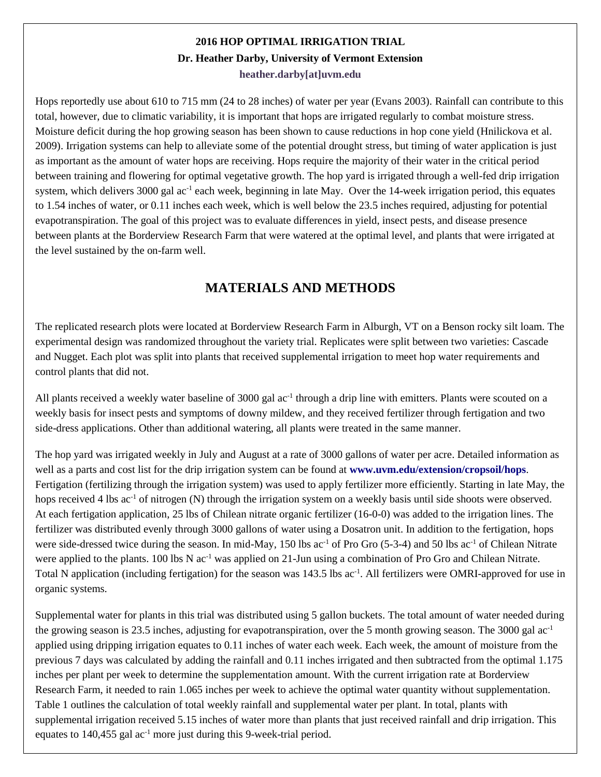## **2016 HOP OPTIMAL IRRIGATION TRIAL Dr. Heather Darby, University of Vermont Extension heather.darby[at]uvm.edu**

Hops reportedly use about 610 to 715 mm (24 to 28 inches) of water per year (Evans 2003). Rainfall can contribute to this total, however, due to climatic variability, it is important that hops are irrigated regularly to combat moisture stress. Moisture deficit during the hop growing season has been shown to cause reductions in hop cone yield (Hnilickova et al. 2009). Irrigation systems can help to alleviate some of the potential drought stress, but timing of water application is just as important as the amount of water hops are receiving. Hops require the majority of their water in the critical period between training and flowering for optimal vegetative growth. The hop yard is irrigated through a well-fed drip irrigation system, which delivers 3000 gal ac<sup>-1</sup> each week, beginning in late May. Over the 14-week irrigation period, this equates to 1.54 inches of water, or 0.11 inches each week, which is well below the 23.5 inches required, adjusting for potential evapotranspiration. The goal of this project was to evaluate differences in yield, insect pests, and disease presence between plants at the Borderview Research Farm that were watered at the optimal level, and plants that were irrigated at the level sustained by the on-farm well.

# **MATERIALS AND METHODS**

The replicated research plots were located at Borderview Research Farm in Alburgh, VT on a Benson rocky silt loam. The experimental design was randomized throughout the variety trial. Replicates were split between two varieties: Cascade and Nugget. Each plot was split into plants that received supplemental irrigation to meet hop water requirements and control plants that did not.

All plants received a weekly water baseline of 3000 gal ac<sup>-1</sup> through a drip line with emitters. Plants were scouted on a weekly basis for insect pests and symptoms of downy mildew, and they received fertilizer through fertigation and two side-dress applications. Other than additional watering, all plants were treated in the same manner.

The hop yard was irrigated weekly in July and August at a rate of 3000 gallons of water per acre. Detailed information as well as a parts and cost list for the drip irrigation system can be found at **www.uvm.edu/extension/cropsoil/hops**. Fertigation (fertilizing through the irrigation system) was used to apply fertilizer more efficiently. Starting in late May, the hops received 4 lbs ac<sup>-1</sup> of nitrogen (N) through the irrigation system on a weekly basis until side shoots were observed. At each fertigation application, 25 lbs of Chilean nitrate organic fertilizer (16-0-0) was added to the irrigation lines. The fertilizer was distributed evenly through 3000 gallons of water using a Dosatron unit. In addition to the fertigation, hops were side-dressed twice during the season. In mid-May, 150 lbs ac<sup>-1</sup> of Pro Gro (5-3-4) and 50 lbs ac<sup>-1</sup> of Chilean Nitrate were applied to the plants. 100 lbs N  $ac^{-1}$  was applied on 21-Jun using a combination of Pro Gro and Chilean Nitrate. Total N application (including fertigation) for the season was 143.5 lbs ac<sup>-1</sup>. All fertilizers were OMRI-approved for use in organic systems.

Supplemental water for plants in this trial was distributed using 5 gallon buckets. The total amount of water needed during the growing season is 23.5 inches, adjusting for evapotranspiration, over the 5 month growing season. The 3000 gal  $ac^{-1}$ applied using dripping irrigation equates to 0.11 inches of water each week. Each week, the amount of moisture from the previous 7 days was calculated by adding the rainfall and 0.11 inches irrigated and then subtracted from the optimal 1.175 inches per plant per week to determine the supplementation amount. With the current irrigation rate at Borderview Research Farm, it needed to rain 1.065 inches per week to achieve the optimal water quantity without supplementation. Table 1 outlines the calculation of total weekly rainfall and supplemental water per plant. In total, plants with supplemental irrigation received 5.15 inches of water more than plants that just received rainfall and drip irrigation. This equates to  $140,455$  gal ac<sup>-1</sup> more just during this 9-week-trial period.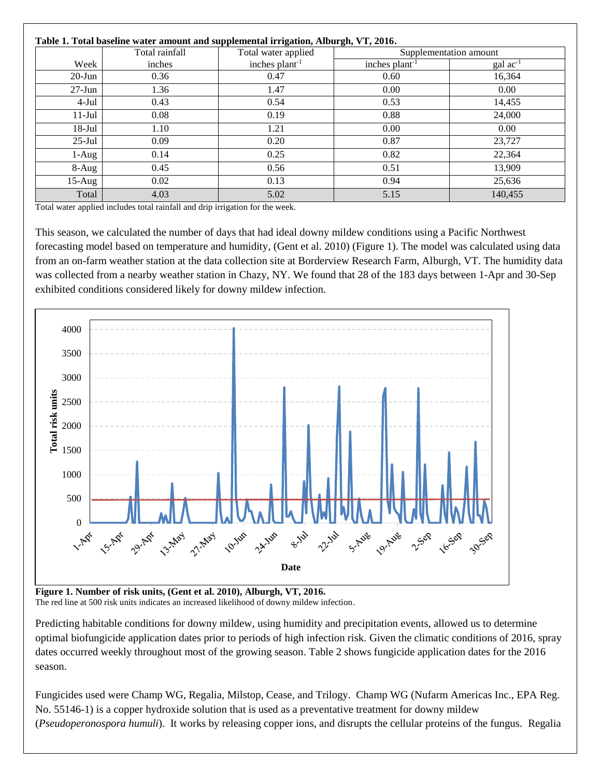#### **Table 1. Total baseline water amount and supplemental irrigation, Alburgh, VT, 2016.**

|            | Table 1. Total baseline water amount and supplemental irrigation, Alburgh, VI, 2010.<br>Total rainfall | Total water applied |                 | Supplementation amount |
|------------|--------------------------------------------------------------------------------------------------------|---------------------|-----------------|------------------------|
| Week       | inches                                                                                                 | inches $plan-1$     | inches $plan-1$ | $\text{gal ac}^{-1}$   |
| $20$ -Jun  | 0.36                                                                                                   | 0.47                | 0.60            | 16,364                 |
| $27 - Jun$ | 1.36                                                                                                   | 1.47                | 0.00            | 0.00                   |
| $4-Jul$    | 0.43                                                                                                   | 0.54                | 0.53            | 14,455                 |
| $11-Jul$   | 0.08                                                                                                   | 0.19                | 0.88            | 24,000                 |
| $18$ -Jul  | 1.10                                                                                                   | 1.21                | 0.00            | 0.00 <sub>1</sub>      |
| $25$ -Jul  | 0.09                                                                                                   | 0.20                | 0.87            | 23,727                 |
| 1-Aug      | 0.14                                                                                                   | 0.25                | 0.82            | 22,364                 |
| $8-Aug$    | 0.45                                                                                                   | 0.56                | 0.51            | 13,909                 |
| $15-Aug$   | 0.02                                                                                                   | 0.13                | 0.94            | 25,636                 |
| Total      | 4.03                                                                                                   | 5.02                | 5.15            | 140,455                |

Total water applied includes total rainfall and drip irrigation for the week.

This season, we calculated the number of days that had ideal downy mildew conditions using a Pacific Northwest forecasting model based on temperature and humidity, (Gent et al. 2010) (Figure 1). The model was calculated using data from an on-farm weather station at the data collection site at Borderview Research Farm, Alburgh, VT. The humidity data was collected from a nearby weather station in Chazy, NY. We found that 28 of the 183 days between 1-Apr and 30-Sep exhibited conditions considered likely for downy mildew infection.



**Figure 1. Number of risk units, (Gent et al. 2010), Alburgh, VT, 2016.** The red line at 500 risk units indicates an increased likelihood of downy mildew infection.

Predicting habitable conditions for downy mildew, using humidity and precipitation events, allowed us to determine optimal biofungicide application dates prior to periods of high infection risk. Given the climatic conditions of 2016, spray dates occurred weekly throughout most of the growing season. Table 2 shows fungicide application dates for the 2016 season.

Fungicides used were Champ WG, Regalia, Milstop, Cease, and Trilogy. Champ WG (Nufarm Americas Inc., EPA Reg. No. 55146-1) is a copper hydroxide solution that is used as a preventative treatment for downy mildew (*Pseudoperonospora humuli*). It works by releasing copper ions, and disrupts the cellular proteins of the fungus. Regalia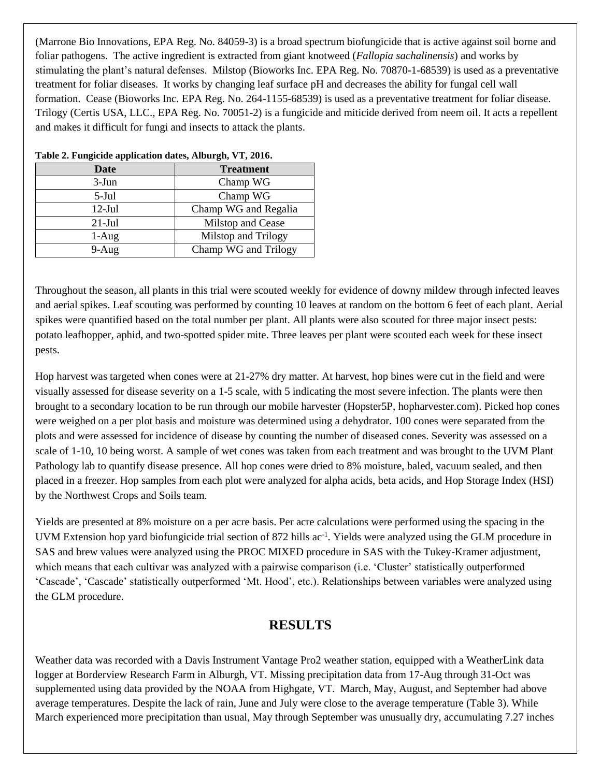(Marrone Bio Innovations, EPA Reg. No. 84059-3) is a broad spectrum biofungicide that is active against soil borne and foliar pathogens. The active ingredient is extracted from giant knotweed (*Fallopia sachalinensis*) and works by stimulating the plant's natural defenses. Milstop (Bioworks Inc. EPA Reg. No. 70870-1-68539) is used as a preventative treatment for foliar diseases. It works by changing leaf surface pH and decreases the ability for fungal cell wall formation. Cease (Bioworks Inc. EPA Reg. No. 264-1155-68539) is used as a preventative treatment for foliar disease. Trilogy (Certis USA, LLC., EPA Reg. No. 70051-2) is a fungicide and miticide derived from neem oil. It acts a repellent and makes it difficult for fungi and insects to attack the plants.

| Date      | <b>Treatment</b>     |
|-----------|----------------------|
| $3-Jun$   | Champ WG             |
| $5$ -Jul  | Champ WG             |
| $12-Jul$  | Champ WG and Regalia |
| $21$ -Jul | Milstop and Cease    |
| $1-Aug$   | Milstop and Trilogy  |
| $9-Aug$   | Champ WG and Trilogy |

#### **Table 2. Fungicide application dates, Alburgh, VT, 2016.**

Throughout the season, all plants in this trial were scouted weekly for evidence of downy mildew through infected leaves and aerial spikes. Leaf scouting was performed by counting 10 leaves at random on the bottom 6 feet of each plant. Aerial spikes were quantified based on the total number per plant. All plants were also scouted for three major insect pests: potato leafhopper, aphid, and two-spotted spider mite. Three leaves per plant were scouted each week for these insect pests.

Hop harvest was targeted when cones were at 21-27% dry matter. At harvest, hop bines were cut in the field and were visually assessed for disease severity on a 1-5 scale, with 5 indicating the most severe infection. The plants were then brought to a secondary location to be run through our mobile harvester (Hopster5P, hopharvester.com). Picked hop cones were weighed on a per plot basis and moisture was determined using a dehydrator. 100 cones were separated from the plots and were assessed for incidence of disease by counting the number of diseased cones. Severity was assessed on a scale of 1-10, 10 being worst. A sample of wet cones was taken from each treatment and was brought to the UVM Plant Pathology lab to quantify disease presence. All hop cones were dried to 8% moisture, baled, vacuum sealed, and then placed in a freezer. Hop samples from each plot were analyzed for alpha acids, beta acids, and Hop Storage Index (HSI) by the Northwest Crops and Soils team.

Yields are presented at 8% moisture on a per acre basis. Per acre calculations were performed using the spacing in the UVM Extension hop yard biofungicide trial section of 872 hills ac<sup>-1</sup>. Yields were analyzed using the GLM procedure in SAS and brew values were analyzed using the PROC MIXED procedure in SAS with the Tukey-Kramer adjustment, which means that each cultivar was analyzed with a pairwise comparison (i.e. 'Cluster' statistically outperformed 'Cascade', 'Cascade' statistically outperformed 'Mt. Hood', etc.). Relationships between variables were analyzed using the GLM procedure.

## **RESULTS**

Weather data was recorded with a Davis Instrument Vantage Pro2 weather station, equipped with a WeatherLink data logger at Borderview Research Farm in Alburgh, VT. Missing precipitation data from 17-Aug through 31-Oct was supplemented using data provided by the NOAA from Highgate, VT. March, May, August, and September had above average temperatures. Despite the lack of rain, June and July were close to the average temperature (Table 3). While March experienced more precipitation than usual, May through September was unusually dry, accumulating 7.27 inches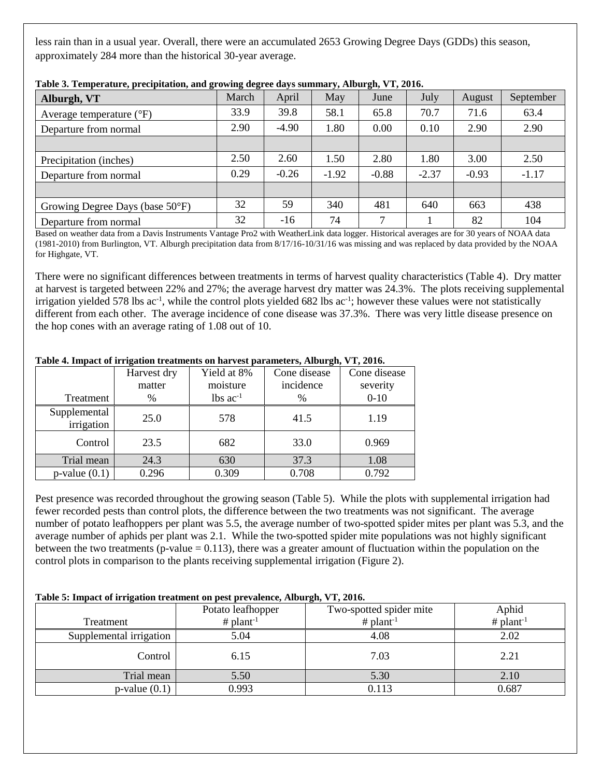less rain than in a usual year. Overall, there were an accumulated 2653 Growing Degree Days (GDDs) this season, approximately 284 more than the historical 30-year average.

| Alburgh, VT                         | March | April   | May     | June         | July    | August  | September |
|-------------------------------------|-------|---------|---------|--------------|---------|---------|-----------|
| Average temperature $({}^{\circ}F)$ | 33.9  | 39.8    | 58.1    | 65.8         | 70.7    | 71.6    | 63.4      |
| Departure from normal               | 2.90  | $-4.90$ | 1.80    | 0.00         | 0.10    | 2.90    | 2.90      |
|                                     |       |         |         |              |         |         |           |
| Precipitation (inches)              | 2.50  | 2.60    | 1.50    | 2.80         | 1.80    | 3.00    | 2.50      |
| Departure from normal               | 0.29  | $-0.26$ | $-1.92$ | $-0.88$      | $-2.37$ | $-0.93$ | $-1.17$   |
|                                     |       |         |         |              |         |         |           |
| Growing Degree Days (base 50°F)     | 32    | 59      | 340     | 481          | 640     | 663     | 438       |
| Departure from normal               | 32    | -16     | 74      | $\mathbf{r}$ |         | 82      | 104       |

**Table 3. Temperature, precipitation, and growing degree days summary, Alburgh, VT, 2016.**

Based on weather data from a Davis Instruments Vantage Pro2 with WeatherLink data logger. Historical averages are for 30 years of NOAA data (1981-2010) from Burlington, VT. Alburgh precipitation data from 8/17/16-10/31/16 was missing and was replaced by data provided by the NOAA for Highgate, VT.

There were no significant differences between treatments in terms of harvest quality characteristics (Table 4). Dry matter at harvest is targeted between 22% and 27%; the average harvest dry matter was 24.3%. The plots receiving supplemental irrigation yielded 578 lbs  $ac^{-1}$ , while the control plots yielded 682 lbs  $ac^{-1}$ ; however these values were not statistically different from each other. The average incidence of cone disease was 37.3%. There was very little disease presence on the hop cones with an average rating of 1.08 out of 10.

|                            | Harvest dry | Yield at 8%            | Cone disease | Cone disease |
|----------------------------|-------------|------------------------|--------------|--------------|
|                            | matter      | moisture               | incidence    | severity     |
| Treatment                  | %           | $lbs$ ac <sup>-1</sup> | %            | $0 - 10$     |
| Supplemental<br>irrigation | 25.0        | 578                    | 41.5         | 1.19         |
| Control                    | 23.5        | 682                    | 33.0         | 0.969        |
| Trial mean                 | 24.3        | 630                    | 37.3         | 1.08         |
| $p$ -value $(0.1)$         | 0.296       | 0.309                  | 0.708        | 0.792        |

#### **Table 4. Impact of irrigation treatments on harvest parameters, Alburgh, VT, 2016.**

Pest presence was recorded throughout the growing season (Table 5). While the plots with supplemental irrigation had fewer recorded pests than control plots, the difference between the two treatments was not significant. The average number of potato leafhoppers per plant was 5.5, the average number of two-spotted spider mites per plant was 5.3, and the average number of aphids per plant was 2.1. While the two-spotted spider mite populations was not highly significant between the two treatments (p-value  $= 0.113$ ), there was a greater amount of fluctuation within the population on the control plots in comparison to the plants receiving supplemental irrigation (Figure 2).

#### **Table 5: Impact of irrigation treatment on pest prevalence, Alburgh, VT, 2016.**

|                         |                   | $\sim$ $\sim$ $\sim$    |                |
|-------------------------|-------------------|-------------------------|----------------|
|                         | Potato leafhopper | Two-spotted spider mite | Aphid          |
| Treatment               | # $plant^{-1}$    | # $plant^{-1}$          | # $plant^{-1}$ |
| Supplemental irrigation | 5.04              | 4.08                    | 2.02           |
| Control                 | 6.15              | 7.03                    | 2.21           |
| Trial mean              | 5.50              | 5.30                    | 2.10           |
| $p$ -value $(0.1)$      | 0.993             | 0.113                   | 0.687          |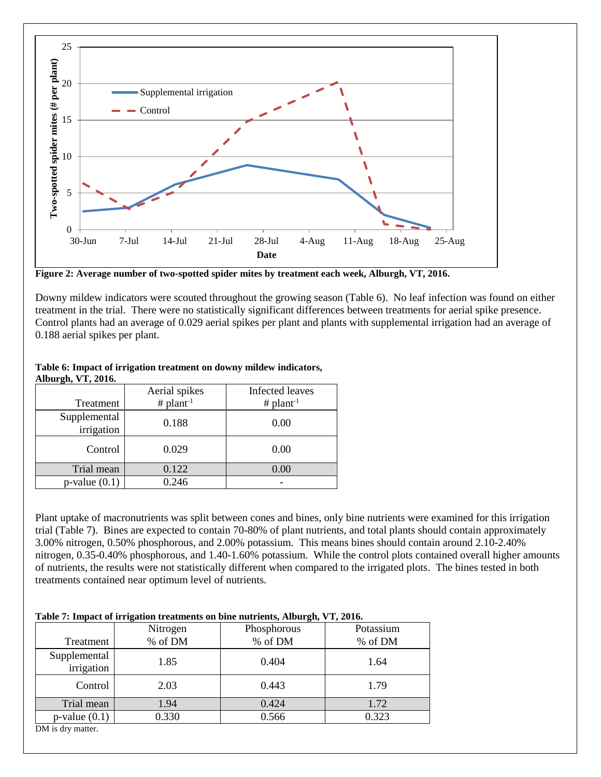

**Figure 2: Average number of two-spotted spider mites by treatment each week, Alburgh, VT, 2016.**

Downy mildew indicators were scouted throughout the growing season (Table 6). No leaf infection was found on either treatment in the trial. There were no statistically significant differences between treatments for aerial spike presence. Control plants had an average of 0.029 aerial spikes per plant and plants with supplemental irrigation had an average of 0.188 aerial spikes per plant.

#### **Table 6: Impact of irrigation treatment on downy mildew indicators, Alburgh, VT, 2016.**

|                            | Aerial spikes  | Infected leaves |
|----------------------------|----------------|-----------------|
| Treatment                  | # $plant^{-1}$ | # $plant^{-1}$  |
| Supplemental<br>irrigation | 0.188          | 0.00            |
| Control                    | 0.029          | 0.00            |
| Trial mean                 | 0.122          | 0.00            |
| $p$ -value $(0.1)$         | 0.246          |                 |

Plant uptake of macronutrients was split between cones and bines, only bine nutrients were examined for this irrigation trial (Table 7). Bines are expected to contain 70-80% of plant nutrients, and total plants should contain approximately 3.00% nitrogen, 0.50% phosphorous, and 2.00% potassium. This means bines should contain around 2.10-2.40% nitrogen, 0.35-0.40% phosphorous, and 1.40-1.60% potassium. While the control plots contained overall higher amounts of nutrients, the results were not statistically different when compared to the irrigated plots. The bines tested in both treatments contained near optimum level of nutrients.

#### **Table 7: Impact of irrigation treatments on bine nutrients, Alburgh, VT, 2016.**

|                            | Nitrogen | Phosphorous | Potassium |
|----------------------------|----------|-------------|-----------|
| Treatment                  | % of DM  | % of DM     | % of DM   |
| Supplemental<br>irrigation | 1.85     | 0.404       | 1.64      |
| Control                    | 2.03     | 0.443       | 1.79      |
| Trial mean                 | 1.94     | 0.424       | 1.72      |
| $p$ -value $(0.1)$         | 0.330    | 0.566       | 0.323     |
| DM is dry matter.          |          |             |           |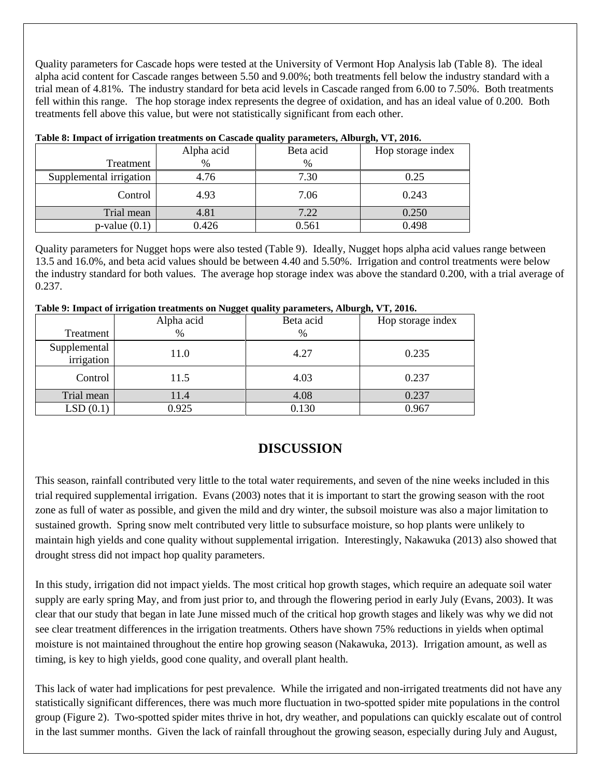Quality parameters for Cascade hops were tested at the University of Vermont Hop Analysis lab (Table 8). The ideal alpha acid content for Cascade ranges between 5.50 and 9.00%; both treatments fell below the industry standard with a trial mean of 4.81%. The industry standard for beta acid levels in Cascade ranged from 6.00 to 7.50%. Both treatments fell within this range. The hop storage index represents the degree of oxidation, and has an ideal value of 0.200. Both treatments fell above this value, but were not statistically significant from each other.

| $\bullet$               | Alpha acid | . .<br>Beta acid | $\bullet$<br>Hop storage index |
|-------------------------|------------|------------------|--------------------------------|
| Treatment               | %          | %                |                                |
| Supplemental irrigation | 4.76       | 7.30             | 0.25                           |
| Control                 | 4.93       | 7.06             | 0.243                          |
| Trial mean              | 4.81       | 7.22             | 0.250                          |
| $p$ -value $(0.1)$      | 0.426      | 0.561            | 0.498                          |

#### **Table 8: Impact of irrigation treatments on Cascade quality parameters, Alburgh, VT, 2016.**

Quality parameters for Nugget hops were also tested (Table 9). Ideally, Nugget hops alpha acid values range between 13.5 and 16.0%, and beta acid values should be between 4.40 and 5.50%. Irrigation and control treatments were below the industry standard for both values. The average hop storage index was above the standard 0.200, with a trial average of 0.237.

| Table 9: Impact of irrigation treatments on Nugget quality parameters, Alburgh, VT, 2016. |  |  |
|-------------------------------------------------------------------------------------------|--|--|
|                                                                                           |  |  |

|                            | Alpha acid    | Beta acid | Hop storage index |
|----------------------------|---------------|-----------|-------------------|
| Treatment                  | $\frac{0}{0}$ | %         |                   |
| Supplemental<br>irrigation | 11.0          | 4.27      | 0.235             |
| Control                    | 11.5          | 4.03      | 0.237             |
| Trial mean                 | 11.4          | 4.08      | 0.237             |
| LSD(0.1)                   | 0.925         | 0.130     | 0.967             |

## **DISCUSSION**

This season, rainfall contributed very little to the total water requirements, and seven of the nine weeks included in this trial required supplemental irrigation. Evans (2003) notes that it is important to start the growing season with the root zone as full of water as possible, and given the mild and dry winter, the subsoil moisture was also a major limitation to sustained growth. Spring snow melt contributed very little to subsurface moisture, so hop plants were unlikely to maintain high yields and cone quality without supplemental irrigation. Interestingly, Nakawuka (2013) also showed that drought stress did not impact hop quality parameters.

In this study, irrigation did not impact yields. The most critical hop growth stages, which require an adequate soil water supply are early spring May, and from just prior to, and through the flowering period in early July (Evans, 2003). It was clear that our study that began in late June missed much of the critical hop growth stages and likely was why we did not see clear treatment differences in the irrigation treatments. Others have shown 75% reductions in yields when optimal moisture is not maintained throughout the entire hop growing season (Nakawuka, 2013). Irrigation amount, as well as timing, is key to high yields, good cone quality, and overall plant health.

This lack of water had implications for pest prevalence. While the irrigated and non-irrigated treatments did not have any statistically significant differences, there was much more fluctuation in two-spotted spider mite populations in the control group (Figure 2). Two-spotted spider mites thrive in hot, dry weather, and populations can quickly escalate out of control in the last summer months. Given the lack of rainfall throughout the growing season, especially during July and August,